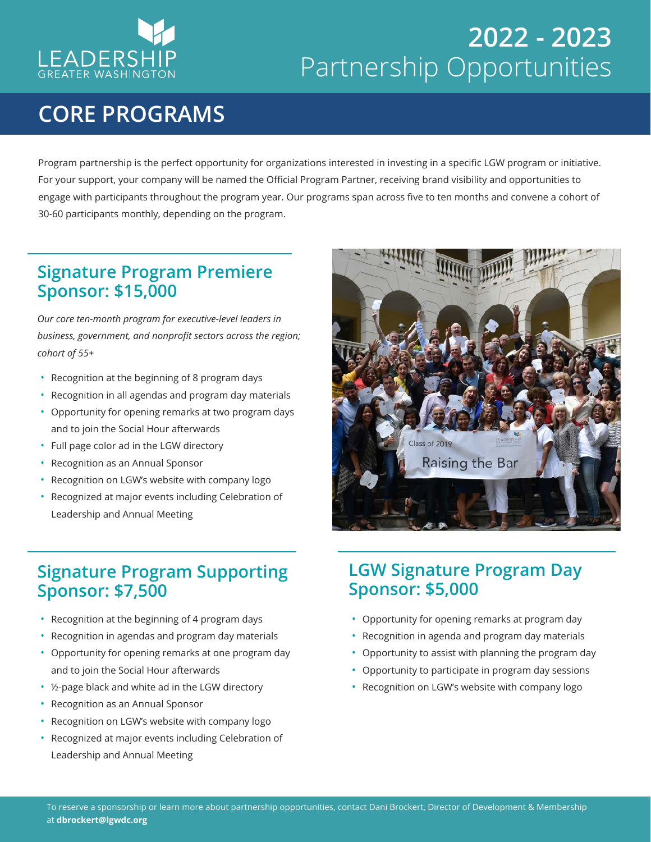

# **2022 - 2023** Partnership Opportunities

## **CORE PROGRAMS**

Program partnership is the perfect opportunity for organizations interested in investing in a specific LGW program or initiative. For your support, your company will be named the Official Program Partner, receiving brand visibility and opportunities to engage with participants throughout the program year. Our programs span across five to ten months and convene a cohort of 30-60 participants monthly, depending on the program.

## **Signature Program Premiere Sponsor: \$15,000**

*Our core ten-month program for executive-level leaders in business, government, and nonprofit sectors across the region; cohort of 55+*

- Recognition at the beginning of 8 program days
- Recognition in all agendas and program day materials
- Opportunity for opening remarks at two program days and to join the Social Hour afterwards
- Full page color ad in the LGW directory
- Recognition as an Annual Sponsor
- Recognition on LGW's website with company logo
- Recognized at major events including Celebration of Leadership and Annual Meeting

## **Signature Program Supporting Sponsor: \$7,500**

- Recognition at the beginning of 4 program days
- Recognition in agendas and program day materials
- Opportunity for opening remarks at one program day and to join the Social Hour afterwards
- ½-page black and white ad in the LGW directory
- Recognition as an Annual Sponsor
- Recognition on LGW's website with company logo
- Recognized at major events including Celebration of Leadership and Annual Meeting



### **LGW Signature Program Day Sponsor: \$5,000**

- Opportunity for opening remarks at program day
- Recognition in agenda and program day materials
- Opportunity to assist with planning the program day
- Opportunity to participate in program day sessions
- Recognition on LGW's website with company logo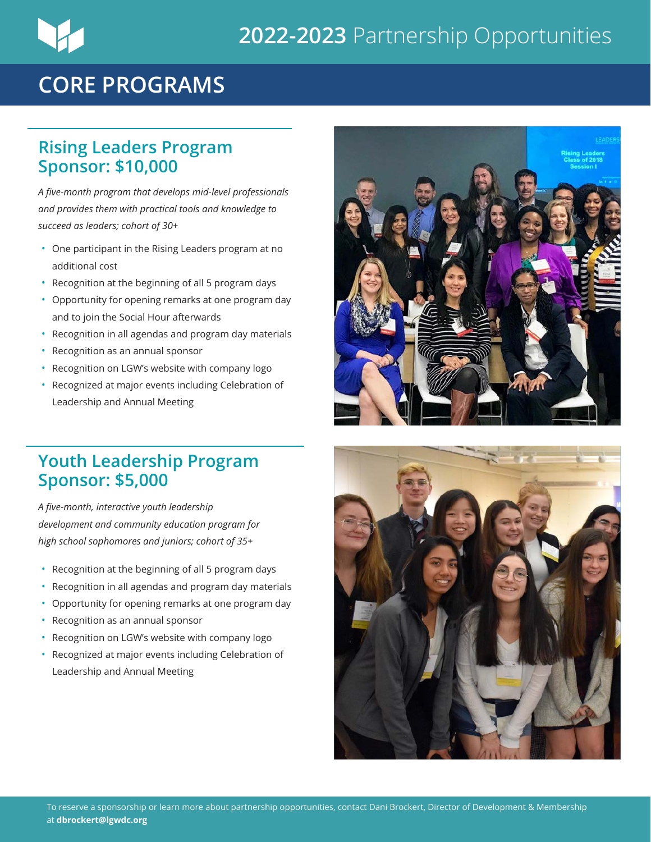## **2022-2023** Partnership Opportunities

## **CORE PROGRAMS**

#### **Rising Leaders Program Sponsor: \$10,000**

*A five-month program that develops mid-level professionals and provides them with practical tools and knowledge to succeed as leaders; cohort of 30+* 

- One participant in the Rising Leaders program at no additional cost
- Recognition at the beginning of all 5 program days
- Opportunity for opening remarks at one program day and to join the Social Hour afterwards
- Recognition in all agendas and program day materials
- Recognition as an annual sponsor
- Recognition on LGW's website with company logo
- Recognized at major events including Celebration of Leadership and Annual Meeting

#### **Youth Leadership Program Sponsor: \$5,000**

*A five-month, interactive youth leadership development and community education program for high school sophomores and juniors; cohort of 35+*

- Recognition at the beginning of all 5 program days
- Recognition in all agendas and program day materials
- Opportunity for opening remarks at one program day
- Recognition as an annual sponsor
- Recognition on LGW's website with company logo
- Recognized at major events including Celebration of Leadership and Annual Meeting



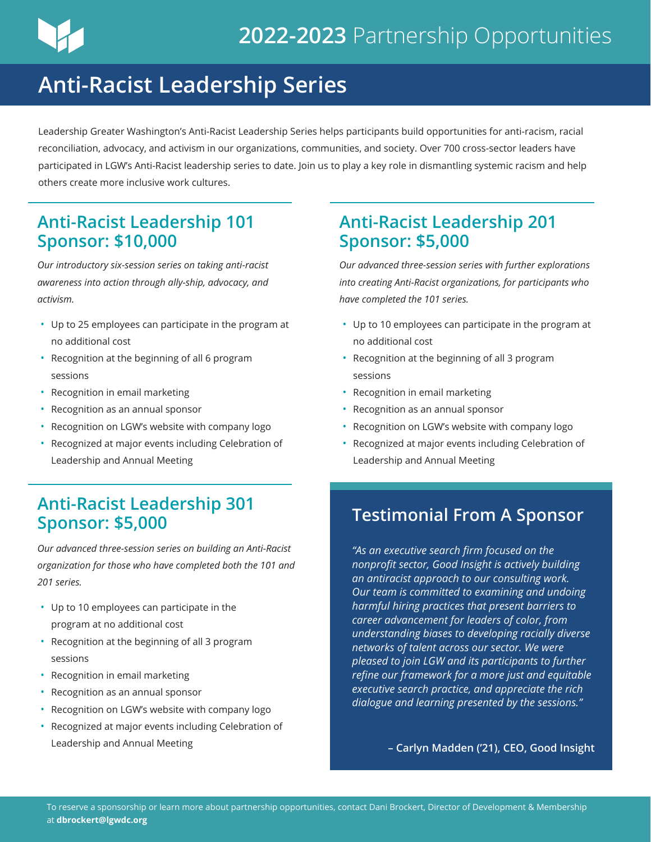

## **Anti-Racist Leadership Series**

Leadership Greater Washington's Anti-Racist Leadership Series helps participants build opportunities for anti-racism, racial reconciliation, advocacy, and activism in our organizations, communities, and society. Over 700 cross-sector leaders have participated in LGW's Anti-Racist leadership series to date. Join us to play a key role in dismantling systemic racism and help others create more inclusive work cultures.

## **Anti-Racist Leadership 101 Sponsor: \$10,000**

*Our introductory six-session series on taking anti-racist awareness into action through ally-ship, advocacy, and activism.*

- Up to 25 employees can participate in the program at no additional cost
- Recognition at the beginning of all 6 program sessions
- Recognition in email marketing
- Recognition as an annual sponsor
- Recognition on LGW's website with company logo
- Recognized at major events including Celebration of Leadership and Annual Meeting

## **Anti-Racist Leadership 301 Sponsor: \$5,000**

*Our advanced three-session series on building an Anti-Racist organization for those who have completed both the 101 and 201 series.*

- Up to 10 employees can participate in the program at no additional cost
- Recognition at the beginning of all 3 program sessions
- Recognition in email marketing
- Recognition as an annual sponsor
- Recognition on LGW's website with company logo
- Recognized at major events including Celebration of Leadership and Annual Meeting

## **Anti-Racist Leadership 201 Sponsor: \$5,000**

*Our advanced three-session series with further explorations into creating Anti-Racist organizations, for participants who have completed the 101 series.*

- Up to 10 employees can participate in the program at no additional cost
- Recognition at the beginning of all 3 program sessions
- Recognition in email marketing
- Recognition as an annual sponsor
- Recognition on LGW's website with company logo
- Recognized at major events including Celebration of Leadership and Annual Meeting

## **Testimonial From A Sponsor**

*"As an executive search firm focused on the nonprofit sector, Good Insight is actively building an antiracist approach to our consulting work. Our team is committed to examining and undoing harmful hiring practices that present barriers to career advancement for leaders of color, from understanding biases to developing racially diverse networks of talent across our sector. We were pleased to join LGW and its participants to further refine our framework for a more just and equitable executive search practice, and appreciate the rich dialogue and learning presented by the sessions."*

**– Carlyn Madden ('21), CEO, Good Insight**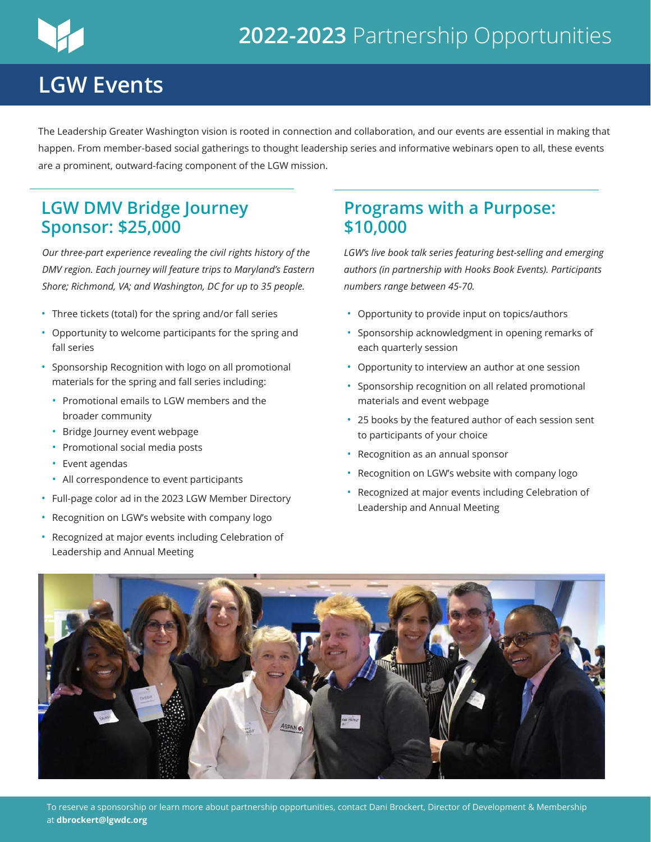## **LGW Events**

The Leadership Greater Washington vision is rooted in connection and collaboration, and our events are essential in making that happen. From member-based social gatherings to thought leadership series and informative webinars open to all, these events are a prominent, outward-facing component of the LGW mission.

### **LGW DMV Bridge Journey Sponsor: \$25,000**

*Our three-part experience revealing the civil rights history of the DMV region. Each journey will feature trips to Maryland's Eastern Shore; Richmond, VA; and Washington, DC for up to 35 people.*

- Three tickets (total) for the spring and/or fall series
- Opportunity to welcome participants for the spring and fall series
- Sponsorship Recognition with logo on all promotional materials for the spring and fall series including:
	- Promotional emails to LGW members and the broader community
	- Bridge Journey event webpage
	- Promotional social media posts
	- Event agendas
	- All correspondence to event participants
- Full-page color ad in the 2023 LGW Member Directory
- Recognition on LGW's website with company logo
- Recognized at major events including Celebration of Leadership and Annual Meeting

#### **Programs with a Purpose: \$10,000**

*LGW's live book talk series featuring best-selling and emerging authors (in partnership with Hooks Book Events). Participants numbers range between 45-70.* 

- Opportunity to provide input on topics/authors
- Sponsorship acknowledgment in opening remarks of each quarterly session
- Opportunity to interview an author at one session
- Sponsorship recognition on all related promotional materials and event webpage
- 25 books by the featured author of each session sent to participants of your choice
- Recognition as an annual sponsor
- Recognition on LGW's website with company logo
- Recognized at major events including Celebration of Leadership and Annual Meeting

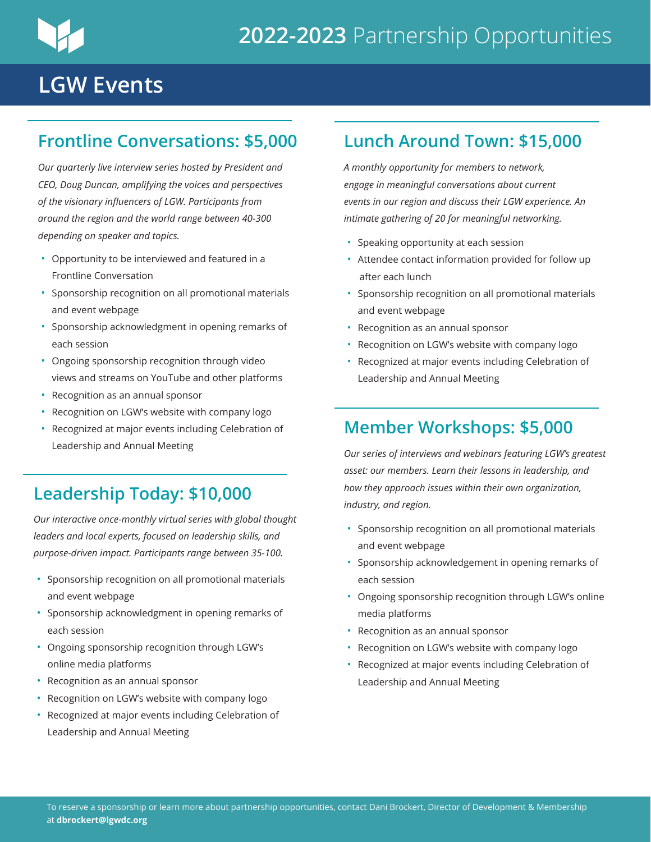

## **LGW Events**

## **Frontline Conversations: \$5,000**

*Our quarterly live interview series hosted by President and CEO, Doug Duncan, amplifying the voices and perspectives of the visionary influencers of LGW. Participants from around the region and the world range between 40-300 depending on speaker and topics.*

- Opportunity to be interviewed and featured in a Frontline Conversation
- Sponsorship recognition on all promotional materials and event webpage
- Sponsorship acknowledgment in opening remarks of each session
- Ongoing sponsorship recognition through video views and streams on YouTube and other platforms
- Recognition as an annual sponsor
- Recognition on LGW's website with company logo
- Recognized at major events including Celebration of Leadership and Annual Meeting

## **Leadership Today: \$10,000**

*Our interactive once-monthly virtual series with global thought leaders and local experts, focused on leadership skills, and purpose-driven impact. Participants range between 35-100.*

- Sponsorship recognition on all promotional materials and event webpage
- Sponsorship acknowledgment in opening remarks of each session
- Ongoing sponsorship recognition through LGW's online media platforms
- Recognition as an annual sponsor
- Recognition on LGW's website with company logo
- Recognized at major events including Celebration of Leadership and Annual Meeting

## **Lunch Around Town: \$15,000**

*A monthly opportunity for members to network, engage in meaningful conversations about current events in our region and discuss their LGW experience. An intimate gathering of 20 for meaningful networking.* 

- Speaking opportunity at each session
- Attendee contact information provided for follow up after each lunch
- Sponsorship recognition on all promotional materials and event webpage
- Recognition as an annual sponsor
- Recognition on LGW's website with company logo
- Recognized at major events including Celebration of Leadership and Annual Meeting

## **Member Workshops: \$5,000**

*Our series of interviews and webinars featuring LGW's greatest asset: our members. Learn their lessons in leadership, and how they approach issues within their own organization, industry, and region.*

- Sponsorship recognition on all promotional materials and event webpage
- Sponsorship acknowledgement in opening remarks of each session
- Ongoing sponsorship recognition through LGW's online media platforms
- Recognition as an annual sponsor
- Recognition on LGW's website with company logo
- Recognized at major events including Celebration of Leadership and Annual Meeting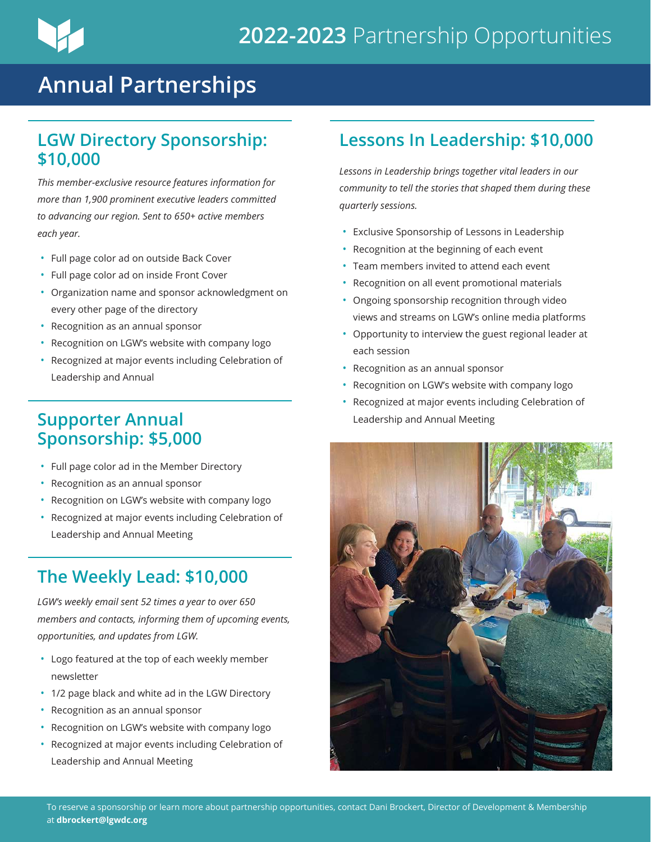## **Annual Partnerships**

### **LGW Directory Sponsorship: \$10,000**

*This member-exclusive resource features information for more than 1,900 prominent executive leaders committed to advancing our region. Sent to 650+ active members each year.*

- Full page color ad on outside Back Cover
- Full page color ad on inside Front Cover
- Organization name and sponsor acknowledgment on every other page of the directory
- Recognition as an annual sponsor
- Recognition on LGW's website with company logo
- Recognized at major events including Celebration of Leadership and Annual

### **Supporter Annual Sponsorship: \$5,000**

- Full page color ad in the Member Directory
- Recognition as an annual sponsor
- Recognition on LGW's website with company logo
- Recognized at major events including Celebration of Leadership and Annual Meeting

## **The Weekly Lead: \$10,000**

*LGW's weekly email sent 52 times a year to over 650 members and contacts, informing them of upcoming events, opportunities, and updates from LGW.*

- Logo featured at the top of each weekly member newsletter
- 1/2 page black and white ad in the LGW Directory
- Recognition as an annual sponsor
- Recognition on LGW's website with company logo
- Recognized at major events including Celebration of Leadership and Annual Meeting

## **Lessons In Leadership: \$10,000**

*Lessons in Leadership brings together vital leaders in our community to tell the stories that shaped them during these quarterly sessions.*

- Exclusive Sponsorship of Lessons in Leadership
- Recognition at the beginning of each event
- Team members invited to attend each event
- Recognition on all event promotional materials
- Ongoing sponsorship recognition through video views and streams on LGW's online media platforms
- Opportunity to interview the guest regional leader at each session
- Recognition as an annual sponsor
- Recognition on LGW's website with company logo
- Recognized at major events including Celebration of Leadership and Annual Meeting